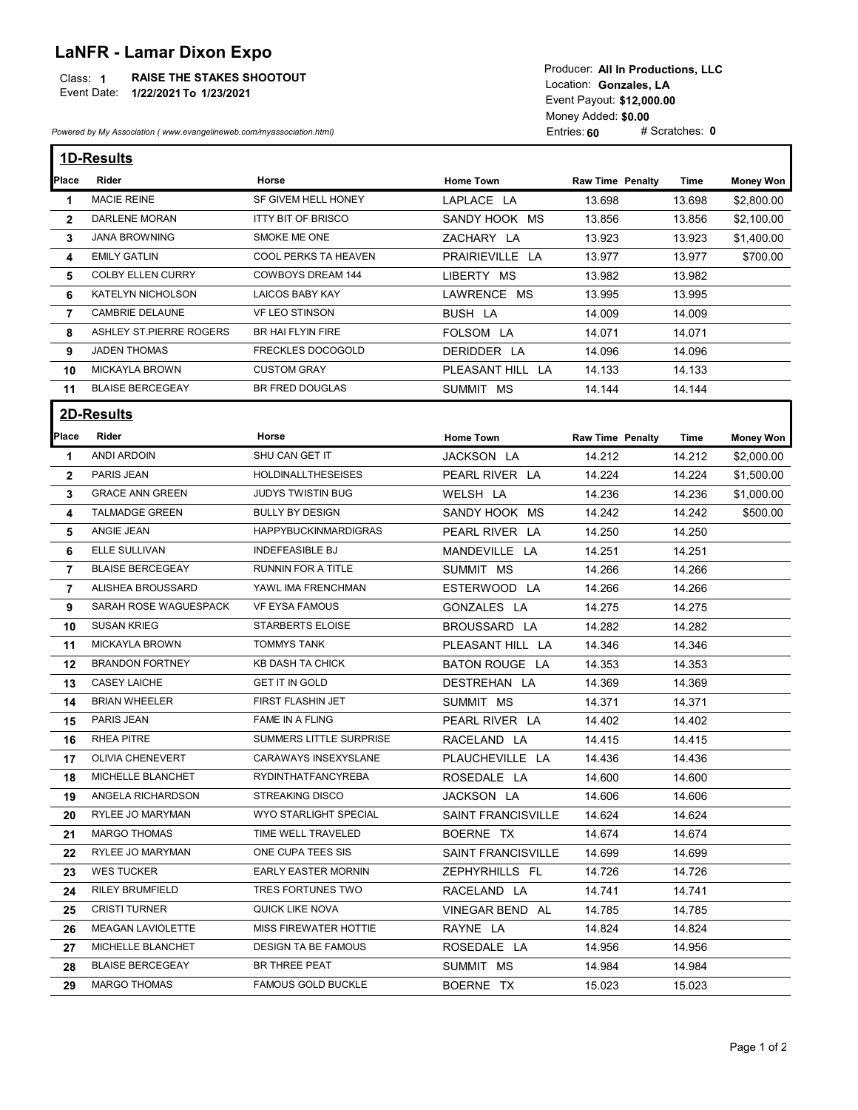## LaNFR - Lamar Dixon Expo

## Class: 1 RAISE THE STAKES SHOOTOUT And the contract of the contract of the contract of the contract of the contra

|                   | <b>RAISE THE STAKES SHOOTOUT</b><br>Class: 1<br>Event Date: 1/22/2021 To 1/23/2021<br>Powered by My Association (www.evangelineweb.com/myassociation.html) |                                                  | Producer: All In Productions, LLC<br>Location: Gonzales, LA<br>Event Payout: \$12,000.00<br>Money Added: \$0.00<br># Scratches: 0<br>Entries: 60 |                         |                  |                          |  |  |
|-------------------|------------------------------------------------------------------------------------------------------------------------------------------------------------|--------------------------------------------------|--------------------------------------------------------------------------------------------------------------------------------------------------|-------------------------|------------------|--------------------------|--|--|
|                   |                                                                                                                                                            |                                                  |                                                                                                                                                  |                         |                  |                          |  |  |
|                   | <b>1D-Results</b>                                                                                                                                          |                                                  |                                                                                                                                                  |                         |                  |                          |  |  |
| Place             | Rider                                                                                                                                                      | Horse                                            | <b>Home Town</b>                                                                                                                                 | <b>Raw Time Penalty</b> | Time             | <b>Money Won</b>         |  |  |
| 1                 | <b>MACIE REINE</b><br>DARLENE MORAN                                                                                                                        | SF GIVEM HELL HONEY<br><b>ITTY BIT OF BRISCO</b> | LAPLACE LA                                                                                                                                       | 13.698                  | 13.698           | \$2,800.00               |  |  |
| $\mathbf{2}$<br>3 | <b>JANA BROWNING</b>                                                                                                                                       | SMOKE ME ONE                                     | SANDY HOOK MS<br>ZACHARY LA                                                                                                                      | 13.856<br>13.923        | 13.856<br>13.923 | \$2,100.00<br>\$1,400.00 |  |  |
| 4                 | <b>EMILY GATLIN</b>                                                                                                                                        | COOL PERKS TA HEAVEN                             | PRAIRIEVILLE LA                                                                                                                                  | 13.977                  | 13.977           | \$700.00                 |  |  |
| 5                 | <b>COLBY ELLEN CURRY</b>                                                                                                                                   | <b>COWBOYS DREAM 144</b>                         | LIBERTY MS                                                                                                                                       | 13.982                  | 13.982           |                          |  |  |
| 6                 | KATELYN NICHOLSON                                                                                                                                          | LAICOS BABY KAY                                  | LAWRENCE MS                                                                                                                                      | 13.995                  | 13.995           |                          |  |  |
| $\overline{7}$    | <b>CAMBRIE DELAUNE</b>                                                                                                                                     | VF LEO STINSON                                   | BUSH LA                                                                                                                                          | 14.009                  | 14.009           |                          |  |  |
| 8                 | ASHLEY ST.PIERRE ROGERS                                                                                                                                    | BR HAI FLYIN FIRE                                | FOLSOM LA                                                                                                                                        | 14.071                  | 14.071           |                          |  |  |
| 9                 | <b>JADEN THOMAS</b>                                                                                                                                        | FRECKLES DOCOGOLD                                | DERIDDER LA                                                                                                                                      | 14.096                  | 14.096           |                          |  |  |
| 10                | MICKAYLA BROWN                                                                                                                                             | <b>CUSTOM GRAY</b>                               | PLEASANT HILL LA                                                                                                                                 | 14.133                  | 14.133           |                          |  |  |
| 11                | <b>BLAISE BERCEGEAY</b>                                                                                                                                    | BR FRED DOUGLAS                                  | SUMMIT MS                                                                                                                                        | 14.144                  | 14.144           |                          |  |  |
|                   | 2D-Results                                                                                                                                                 |                                                  |                                                                                                                                                  |                         |                  |                          |  |  |
|                   | Rider                                                                                                                                                      |                                                  |                                                                                                                                                  |                         |                  |                          |  |  |
| Place             |                                                                                                                                                            | Horse                                            | <b>Home Town</b>                                                                                                                                 | <b>Raw Time Penalty</b> | Time             | <b>Money Won</b>         |  |  |
| 1                 | ANDI ARDOIN                                                                                                                                                | SHU CAN GET IT                                   | JACKSON LA                                                                                                                                       | 14.212                  | 14.212           | \$2,000.00               |  |  |
| $\mathbf{2}$      | PARIS JEAN                                                                                                                                                 | <b>HOLDINALLTHESEISES</b>                        | PEARL RIVER LA                                                                                                                                   | 14.224                  | 14.224           | \$1,500.00               |  |  |
| 3                 | <b>GRACE ANN GREEN</b>                                                                                                                                     | <b>JUDYS TWISTIN BUG</b>                         | WELSH LA                                                                                                                                         | 14.236                  | 14.236           | \$1,000.00               |  |  |
| 4                 | <b>TALMADGE GREEN</b><br>ANGIE JEAN                                                                                                                        | <b>BULLY BY DESIGN</b>                           | SANDY HOOK MS                                                                                                                                    | 14.242                  | 14.242           | \$500.00                 |  |  |
| 5                 |                                                                                                                                                            | <b>HAPPYBUCKINMARDIGRAS</b>                      | PEARL RIVER LA                                                                                                                                   | 14.250                  | 14.250           |                          |  |  |
| 6                 | ELLE SULLIVAN                                                                                                                                              | <b>INDEFEASIBLE BJ</b>                           | MANDEVILLE LA                                                                                                                                    | 14.251                  | 14.251           |                          |  |  |
| 7                 | <b>BLAISE BERCEGEAY</b><br>ALISHEA BROUSSARD                                                                                                               | RUNNIN FOR A TITLE                               | SUMMIT MS                                                                                                                                        | 14.266                  | 14.266           |                          |  |  |
| 7                 | SARAH ROSE WAGUESPACK                                                                                                                                      | YAWL IMA FRENCHMAN                               | ESTERWOOD LA                                                                                                                                     | 14.266                  | 14.266           |                          |  |  |
| 9                 | SUSAN KRIEG                                                                                                                                                | VF EYSA FAMOUS<br>STARBERTS ELOISE               | GONZALES LA                                                                                                                                      | 14.275                  | 14.275           |                          |  |  |
| 10                | MICKAYLA BROWN                                                                                                                                             | <b>TOMMYS TANK</b>                               | BROUSSARD LA                                                                                                                                     | 14.282                  | 14.282           |                          |  |  |
| 11                | <b>BRANDON FORTNEY</b>                                                                                                                                     | KB DASH TA CHICK                                 | PLEASANT HILL LA                                                                                                                                 | 14.346                  | 14.346           |                          |  |  |
| 12                | <b>CASEY LAICHE</b>                                                                                                                                        | <b>GET IT IN GOLD</b>                            | BATON ROUGE LA                                                                                                                                   | 14.353                  | 14.353           |                          |  |  |
| 13                | <b>BRIAN WHEELER</b>                                                                                                                                       | FIRST FLASHIN JET                                | DESTREHAN LA<br>SUMMIT MS                                                                                                                        | 14.369<br>14.371        | 14.369<br>14.371 |                          |  |  |
| 14                | PARIS JEAN                                                                                                                                                 |                                                  |                                                                                                                                                  |                         |                  |                          |  |  |
| 15                |                                                                                                                                                            | FAME IN A FLING                                  | PEARL RIVER LA                                                                                                                                   | 14.402                  | 14.402           |                          |  |  |
| 16                | RHEA PITRE                                                                                                                                                 | SUMMERS LITTLE SURPRISE                          | RACELAND LA                                                                                                                                      | 14.415                  | 14.415           |                          |  |  |
|                   | OLIVIA CHENEVERT                                                                                                                                           | CARAWAYS INSEXYSLANE                             | PLAUCHEVILLE LA                                                                                                                                  | 14.436                  | 14.436           |                          |  |  |
| 17                |                                                                                                                                                            | RYDINTHATFANCYREBA                               | ROSEDALE LA<br>JACKSON LA                                                                                                                        | 14.600                  | 14.600           |                          |  |  |
| 18                | MICHELLE BLANCHET                                                                                                                                          |                                                  |                                                                                                                                                  | 14.606                  | 14.606           |                          |  |  |
| 19                | ANGELA RICHARDSON                                                                                                                                          | <b>STREAKING DISCO</b>                           |                                                                                                                                                  |                         |                  |                          |  |  |
| 20                | RYLEE JO MARYMAN                                                                                                                                           | WYO STARLIGHT SPECIAL                            | <b>SAINT FRANCISVILLE</b>                                                                                                                        | 14.624                  | 14.624           |                          |  |  |
| 21                | <b>MARGO THOMAS</b>                                                                                                                                        | TIME WELL TRAVELED                               | BOERNE TX                                                                                                                                        | 14.674                  | 14.674           |                          |  |  |
| 22                | RYLEE JO MARYMAN                                                                                                                                           | ONE CUPA TEES SIS                                | <b>SAINT FRANCISVILLE</b>                                                                                                                        | 14.699                  | 14.699           |                          |  |  |
| 23                | <b>WES TUCKER</b>                                                                                                                                          | <b>EARLY EASTER MORNIN</b>                       | ZEPHYRHILLS FL                                                                                                                                   | 14.726                  | 14.726           |                          |  |  |
| 24                | <b>RILEY BRUMFIELD</b>                                                                                                                                     | TRES FORTUNES TWO                                | RACELAND LA                                                                                                                                      | 14.741                  | 14.741           |                          |  |  |
| 25                | <b>CRISTI TURNER</b>                                                                                                                                       | QUICK LIKE NOVA                                  | VINEGAR BEND AL                                                                                                                                  | 14.785                  | 14.785           |                          |  |  |
| 26                | <b>MEAGAN LAVIOLETTE</b>                                                                                                                                   | MISS FIREWATER HOTTIE                            | RAYNE LA                                                                                                                                         | 14.824                  | 14.824           |                          |  |  |
| 27                | MICHELLE BLANCHET                                                                                                                                          | <b>DESIGN TA BE FAMOUS</b>                       | ROSEDALE LA                                                                                                                                      | 14.956                  | 14.956           |                          |  |  |
| 28<br>29          | <b>BLAISE BERCEGEAY</b><br><b>MARGO THOMAS</b>                                                                                                             | BR THREE PEAT<br><b>FAMOUS GOLD BUCKLE</b>       | SUMMIT MS<br>BOERNE TX                                                                                                                           | 14.984<br>15.023        | 14.984<br>15.023 |                          |  |  |